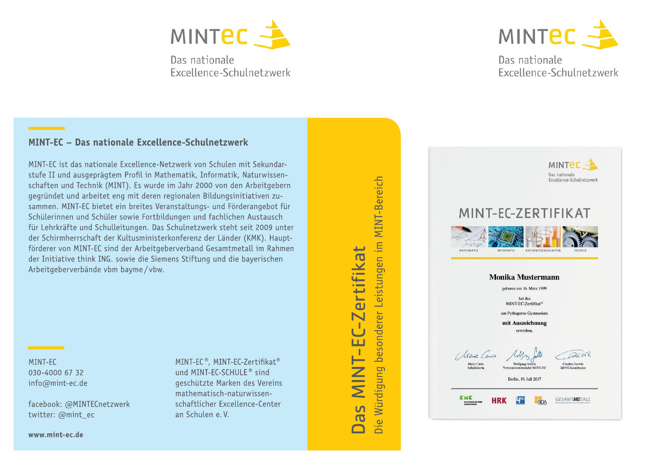

Das nationale Excellence-Schulnetzwerk



# Das nationale Excellence-Schulnetzwerk

#### MINT-EC - Das nationale Excellence-Schulnetzwerk

MINT-EC ist das nationale Excellence-Netzwerk von Schulen mit Sekundarstufe II und ausgeprägtem Profil in Mathematik, Informatik, Naturwissenschaften und Technik (MINT). Es wurde im Jahr 2000 von den Arbeitgebern gegründet und arbeitet eng mit deren regionalen Bildungsinitiativen zusammen. MINT-EC bietet ein breites Veranstaltungs- und Förderangebot für Schülerinnen und Schüler sowie Fortbildungen und fachlichen Austausch für Lehrkräfte und Schulleitungen. Das Schulnetzwerk steht seit 2009 unter der Schirmherrschaft der Kultusministerkonferenz der Länder (KMK). Hauptförderer von MINT-EC sind der Arbeitgeberverband Gesamtmetall im Rahmen der Initiative think ING, sowie die Siemens Stiftung und die baverischen Arbeitgeberverbände vbm bayme/vbw.

MINT-FC 030-4000 67 32 info@mint-ec.de

facebook: @MINTECnetzwerk twitter: @mint ec

MINT-EC®, MINT-EC-Zertifikat® und MINT-EC-SCHULE<sup>®</sup> sind geschützte Marken des Vereins mathematisch-naturwissenschaftlicher Excellence-Center an Schulen e.V.

MINT-Bereich Die Würdigung besonderer Leistungen im ertifika **HZIE** <u>ທ</u>  $\overline{0}$